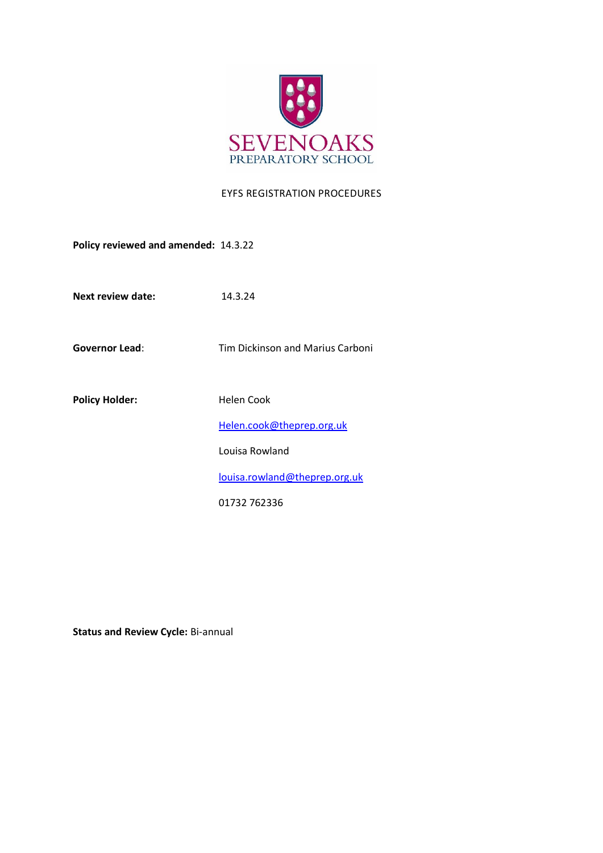

## EYFS REGISTRATION PROCEDURES

**Policy reviewed and amended:** 14.3.22

**Next review date:** 14.3.24

**Governor Lead**: Tim Dickinson and Marius Carboni

Policy Holder: **Helen Cook** 

[Helen.cook@theprep.org.uk](mailto:Helen.cook@theprep.org.uk)

Louisa Rowland

[louisa.rowland@theprep.org.uk](mailto:Samantha.hayward@theprep.org.uk)

01732 762336

**Status and Review Cycle:** Bi-annual